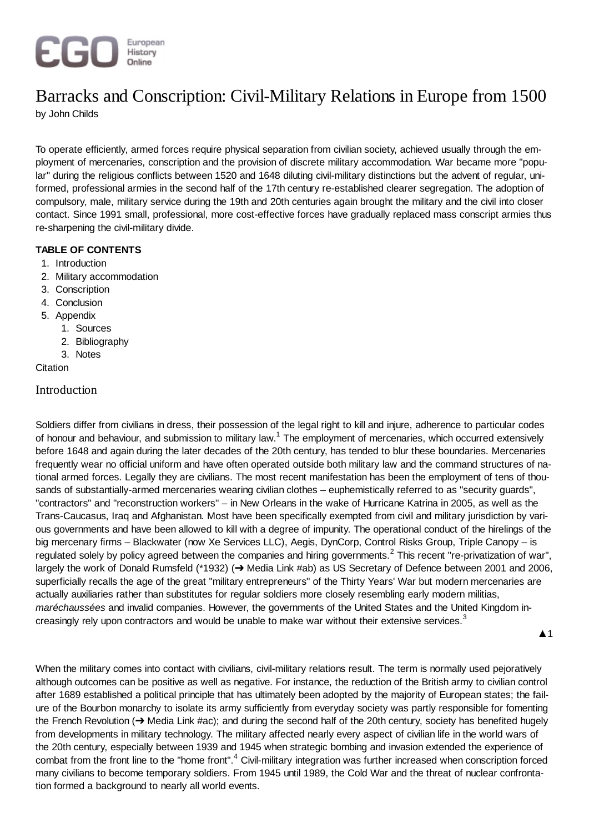

# Barracks and Conscription: Civil-Military Relations in Europe from 1500 by John Childs

To operate efficiently, armed forces require physical separation from civilian society, achieved usually through the employment of mercenaries, conscription and the provision of discrete military accommodation. War became more "popular" during the religious conflicts between 1520 and 1648 diluting civil-military distinctions but the advent of regular, uniformed, professional armies in the second half of the 17th century re-established clearer segregation. The adoption of compulsory, male, military service during the 19th and 20th centuries again brought the military and the civil into closer contact. Since 1991 small, professional, more cost-effective forces have gradually replaced mass conscript armies thus re-sharpening the civil-military divide.

## **TABLE OF CONTENTS**

- 1. Introduction
- 2. Military accommodation
- 3. Conscription
- 4. Conclusion
- 5. Appendix
	- 1. Sources
	- 2. Bibliography
	- 3. Notes
- **Citation**

## Introduction

Soldiers differ from civilians in dress, their possession of the legal right to kill and injure, adherence to particular codes of honour and behaviour, and submission to military law.<sup>1</sup> The employment of mercenaries, which occurred extensively before 1648 and again during the later decades of the 20th century, has tended to blur these boundaries. Mercenaries frequently wear no official uniform and have often operated outside both military law and the command structures of national armed forces. Legally they are civilians. The most recent manifestation has been the employment of tens of thousands of substantially-armed mercenaries wearing civilian clothes – euphemistically referred to as "security guards", "contractors" and "reconstruction workers" – in New Orleans in the wake of Hurricane Katrina in 2005, as well as the Trans-Caucasus, Iraq and Afghanistan. Most have been specifically exempted from civil and military jurisdiction by various governments and have been allowed to kill with a degree of impunity. The operational conduct of the hirelings of the big mercenary firms – Blackwater (now Xe Services LLC), Aegis, DynCorp, Control Risks Group, Triple Canopy – is regulated solely by policy agreed between the companies and hiring governments.<sup>2</sup> This recent "re-privatization of war", largely the work of Donald Rumsfeld (\*1932) (→ Media Link #ab) as US Secretary of Defence between 2001 and 2006, superficially recalls the age of the great "military entrepreneurs" of the Thirty Years' War but modern mercenaries are actually auxiliaries rather than substitutes for regular soldiers more closely resembling early modern militias, *maréchaussées* and invalid companies. However, the governments of the United States and the United Kingdom increasingly rely upon contractors and would be unable to make war without their extensive services.<sup>3</sup>

 $\blacktriangle$  1

When the military comes into contact with civilians, civil-military relations result. The term is normally used pejoratively although outcomes can be positive as well as negative. For instance, the reduction of the British army to civilian control after 1689 established a political principle that has ultimately been adopted by the majority of European states; the failure of the Bourbon monarchy to isolate its army sufficiently from everyday society was partly responsible for fomenting the French Revolution  $\rightarrow$  Media Link #ac); and during the second half of the 20th century, society has benefited hugely from developments in military technology. The military affected nearly every aspect of civilian life in the world wars of the 20th century, especially between 1939 and 1945 when strategic bombing and invasion extended the experience of combat from the front line to the "home front".<sup>4</sup> Civil-military integration was further increased when conscription forced many civilians to become temporary soldiers. From 1945 until 1989, the Cold War and the threat of nuclear confrontation formed a background to nearly all world events.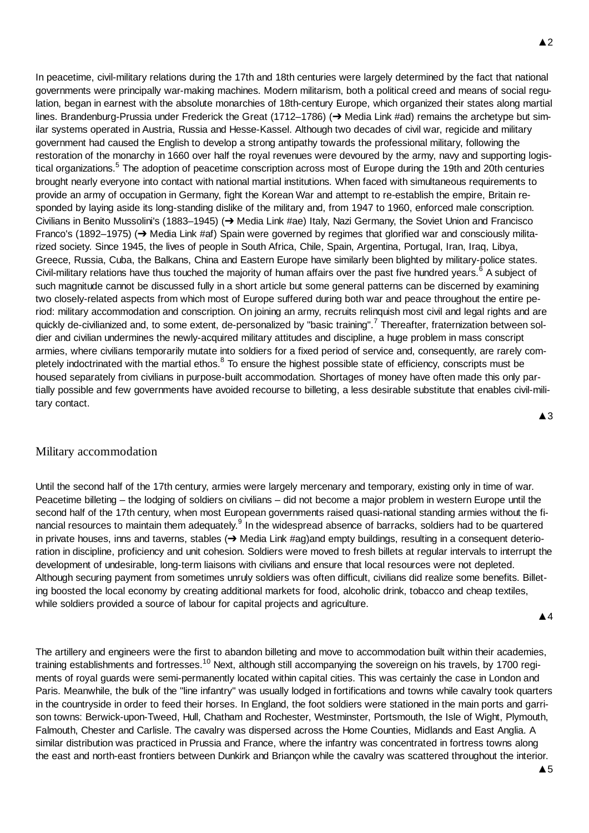In peacetime, civil-military relations during the 17th and 18th centuries were largely determined by the fact that national governments were principally war-making machines. Modern militarism, both a political creed and means of social regulation, began in earnest with the absolute monarchies of 18th-century Europe, which organized their states along martial lines. Brandenburg-Prussia under Frederick the Great (1712–1786) ( $\rightarrow$  Media Link #ad) remains the archetype but similar systems operated in Austria, Russia and Hesse-Kassel. Although two decades of civil war, regicide and military government had caused the English to develop a strong antipathy towards the professional military, following the restoration of the monarchy in 1660 over half the royal revenues were devoured by the army, navy and supporting logistical organizations.<sup>5</sup> The adoption of peacetime conscription across most of Europe during the 19th and 20th centuries brought nearly everyone into contact with national martial institutions. When faced with simultaneous requirements to provide an army of occupation in Germany, fight the Korean War and attempt to re-establish the empire, Britain responded by laying aside its long-standing dislike of the military and, from 1947 to 1960, enforced male conscription. Civilians in Benito Mussolini's (1883–1945) (→ Media Link #ae) Italy, Nazi Germany, the Soviet Union and Francisco Franco's (1892–1975) ( $\rightarrow$  Media Link #af) Spain were governed by regimes that glorified war and consciously militarized society. Since 1945, the lives of people in South Africa, Chile, Spain, Argentina, Portugal, Iran, Iraq, Libya, Greece, Russia, Cuba, the Balkans, China and Eastern Europe have similarly been blighted by military-police states. Civil-military relations have thus touched the majority of human affairs over the past five hundred years.<sup>6</sup> A subject of such magnitude cannot be discussed fully in a short article but some general patterns can be discerned by examining two closely-related aspects from which most of Europe suffered during both war and peace throughout the entire period: military accommodation and conscription. On joining an army, recruits relinquish most civil and legal rights and are quickly de-civilianized and, to some extent, de-personalized by "basic training".<sup>7</sup> Thereafter, fraternization between soldier and civilian undermines the newly-acquired military attitudes and discipline, a huge problem in mass conscript armies, where civilians temporarily mutate into soldiers for a fixed period of service and, consequently, are rarely completely indoctrinated with the martial ethos.<sup>8</sup> To ensure the highest possible state of efficiency, conscripts must be housed separately from civilians in purpose-built accommodation. Shortages of money have often made this only partially possible and few governments have avoided recourse to billeting, a less desirable substitute that enables civil-military contact.

 $\triangle 3$ 

## Military accommodation

Until the second half of the 17th century, armies were largely mercenary and temporary, existing only in time of war. Peacetime billeting – the lodging of soldiers on civilians – did not become a major problem in western Europe until the second half of the 17th century, when most European governments raised quasi-national standing armies without the financial resources to maintain them adequately.<sup>9</sup> In the widespread absence of barracks, soldiers had to be quartered in private houses, inns and taverns, stables  $\rightarrow$  Media Link #ag)and empty buildings, resulting in a consequent deterioration in discipline, proficiency and unit cohesion. Soldiers were moved to fresh billets at regular intervals to interrupt the development of undesirable, long-term liaisons with civilians and ensure that local resources were not depleted. Although securing payment from sometimes unruly soldiers was often difficult, civilians did realize some benefits. Billeting boosted the local economy by creating additional markets for food, alcoholic drink, tobacco and cheap textiles, while soldiers provided a source of labour for capital projects and agriculture.

Ÿ4

The artillery and engineers were the first to abandon billeting and move to accommodation built within their academies, training establishments and fortresses.<sup>10</sup> Next, although still accompanying the sovereign on his travels, by 1700 regiments of royal guards were semi-permanently located within capital cities. This was certainly the case in London and Paris. Meanwhile, the bulk of the "line infantry" was usually lodged in fortifications and towns while cavalry took quarters in the countryside in order to feed their horses. In England, the foot soldiers were stationed in the main ports and garrison towns: Berwick-upon-Tweed, Hull, Chatham and Rochester, Westminster, Portsmouth, the Isle of Wight, Plymouth, Falmouth, Chester and Carlisle. The cavalry was dispersed across the Home Counties, Midlands and East Anglia. A similar distribution was practiced in Prussia and France, where the infantry was concentrated in fortress towns along the east and north-east frontiers between Dunkirk and Briançon while the cavalry was scattered throughout the interior.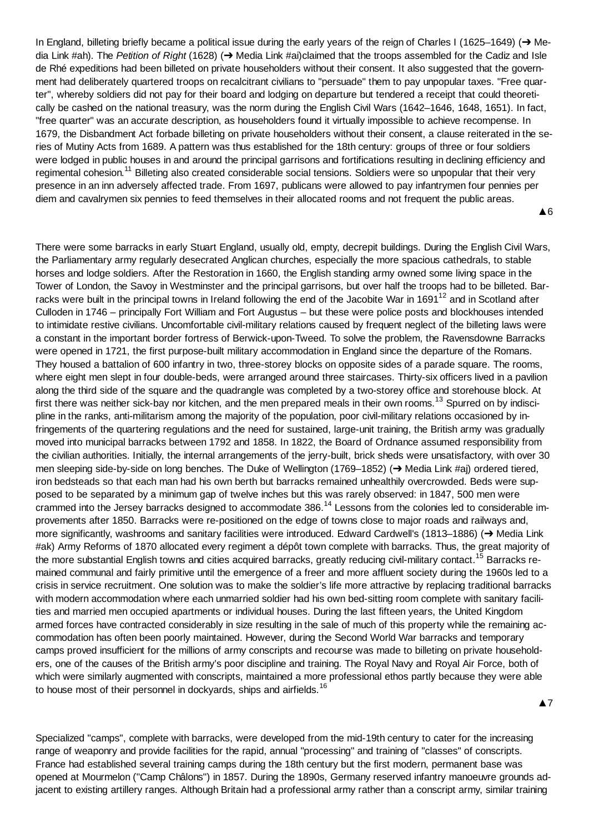In England, billeting briefly became a political issue during the early years of the reign of Charles I (1625–1649) ( $\rightarrow$  Media Link #ah). The Petition of Right (1628) (→ Media Link #ai)claimed that the troops assembled for the Cadiz and Isle de Rhé expeditions had been billeted on private householders without their consent. It also suggested that the government had deliberately quartered troops on recalcitrant civilians to "persuade" them to pay unpopular taxes. "Free quarter", whereby soldiers did not pay for their board and lodging on departure but tendered a receipt that could theoretically be cashed on the national treasury, was the norm during the English Civil Wars (1642–1646, 1648, 1651). In fact, "free quarter" was an accurate description, as householders found it virtually impossible to achieve recompense. In 1679, the Disbandment Act forbade billeting on private householders without their consent, a clause reiterated in the series of Mutiny Acts from 1689. A pattern was thus established for the 18th century: groups of three or four soldiers were lodged in public houses in and around the principal garrisons and fortifications resulting in declining efficiency and regimental cohesion.<sup>11</sup> Billeting also created considerable social tensions. Soldiers were so unpopular that their very presence in an inn adversely affected trade. From 1697, publicans were allowed to pay infantrymen four pennies per diem and cavalrymen six pennies to feed themselves in their allocated rooms and not frequent the public areas.

**A**<sup>6</sup>

There were some barracks in early Stuart England, usually old, empty, decrepit buildings. During the English Civil Wars, the Parliamentary army regularly desecrated Anglican churches, especially the more spacious cathedrals, to stable horses and lodge soldiers. After the Restoration in 1660, the English standing army owned some living space in the Tower of London, the Savoy in Westminster and the principal garrisons, but over half the troops had to be billeted. Barracks were built in the principal towns in Ireland following the end of the Jacobite War in 1691<sup>12</sup> and in Scotland after Culloden in 1746 – principally Fort William and Fort Augustus – but these were police posts and blockhouses intended to intimidate restive civilians. Uncomfortable civil-military relations caused by frequent neglect of the billeting laws were a constant in the important border fortress of Berwick-upon-Tweed. To solve the problem, the Ravensdowne Barracks were opened in 1721, the first purpose-built military accommodation in England since the departure of the Romans. They housed a battalion of 600 infantry in two, three-storey blocks on opposite sides of a parade square. The rooms, where eight men slept in four double-beds, were arranged around three staircases. Thirty-six officers lived in a pavilion along the third side of the square and the quadrangle was completed by a two-storey office and storehouse block. At first there was neither sick-bay nor kitchen, and the men prepared meals in their own rooms.<sup>13</sup> Spurred on by indiscipline in the ranks, anti-militarism among the majority of the population, poor civil-military relations occasioned by infringements of the quartering regulations and the need for sustained, large-unit training, the British army was gradually moved into municipal barracks between 1792 and 1858. In 1822, the Board of Ordnance assumed responsibility from the civilian authorities. Initially, the internal arrangements of the jerry-built, brick sheds were unsatisfactory, with over 30 men sleeping side-by-side on long benches. The Duke of Wellington (1769–1852) ( $\rightarrow$  Media Link #aj) ordered tiered, iron bedsteads so that each man had his own berth but barracks remained unhealthily overcrowded. Beds were supposed to be separated by a minimum gap of twelve inches but this was rarely observed: in 1847, 500 men were crammed into the Jersey barracks designed to accommodate 386.<sup>14</sup> Lessons from the colonies led to considerable improvements after 1850. Barracks were re-positioned on the edge of towns close to major roads and railways and, more significantly, washrooms and sanitary facilities were introduced. Edward Cardwell's (1813–1886) (→ Media Link #ak) Army Reforms of 1870 allocated every regiment a dépôt town complete with barracks. Thus, the great majority of the more substantial English towns and cities acquired barracks, greatly reducing civil-military contact.<sup>15</sup> Barracks remained communal and fairly primitive until the emergence of a freer and more affluent society during the 1960s led to a crisis in service recruitment. One solution was to make the soldier's life more attractive by replacing traditional barracks with modern accommodation where each unmarried soldier had his own bed-sitting room complete with sanitary facilities and married men occupied apartments or individual houses. During the last fifteen years, the United Kingdom armed forces have contracted considerably in size resulting in the sale of much of this property while the remaining accommodation has often been poorly maintained. However, during the Second World War barracks and temporary camps proved insufficient for the millions of army conscripts and recourse was made to billeting on private householders, one of the causes of the British army's poor discipline and training. The Royal Navy and Royal Air Force, both of which were similarly augmented with conscripts, maintained a more professional ethos partly because they were able to house most of their personnel in dockyards, ships and airfields.<sup>16</sup>

Specialized "camps", complete with barracks, were developed from the mid-19th century to cater for the increasing range of weaponry and provide facilities for the rapid, annual "processing" and training of "classes" of conscripts. France had established several training camps during the 18th century but the first modern, permanent base was opened at Mourmelon ("Camp Châlons") in 1857. During the 1890s, Germany reserved infantry manoeuvre grounds adjacent to existing artillery ranges. Although Britain had a professional army rather than a conscript army, similar training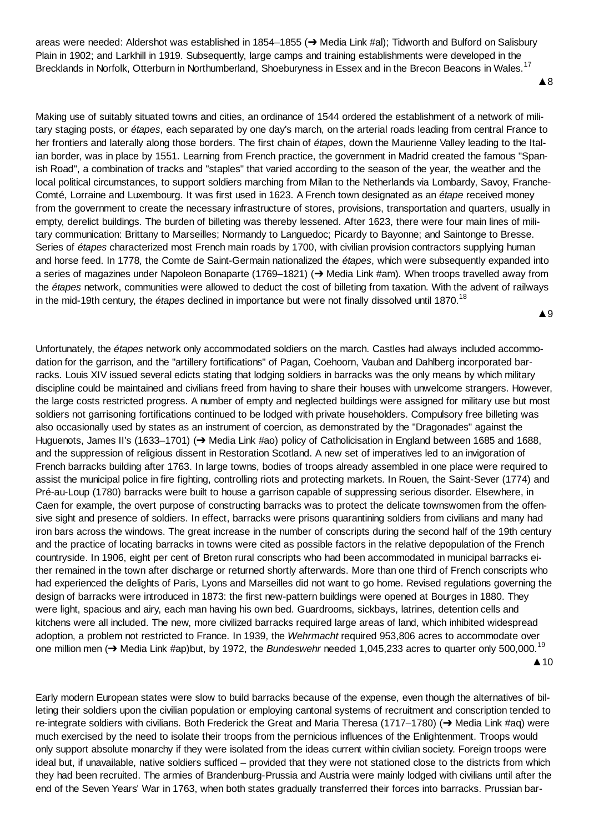areas were needed: Aldershot was established in 1854–1855 (→ Media Link #al); Tidworth and Bulford on Salisbury Plain in 1902; and Larkhill in 1919. Subsequently, large camps and training establishments were developed in the Brecklands in Norfolk, Otterburn in Northumberland, Shoeburyness in Essex and in the Brecon Beacons in Wales.<sup>17</sup>

**▲8** 

**A**9

Making use of suitably situated towns and cities, an ordinance of 1544 ordered the establishment of a network of military staging posts, or *étapes*, each separated by one day's march, on the arterial roads leading from central France to her frontiers and laterally along those borders. The first chain of *étapes*, down the Maurienne Valley leading to the Italian border, was in place by 1551. Learning from French practice, the government in Madrid created the famous "Spanish Road", a combination of tracks and "staples" that varied according to the season of the year, the weather and the local political circumstances, to support soldiers marching from Milan to the Netherlands via Lombardy, Savoy, Franche-Comté, Lorraine and Luxembourg. It was first used in 1623. A French town designated as an *étape* received money from the government to create the necessary infrastructure of stores, provisions, transportation and quarters, usually in empty, derelict buildings. The burden of billeting was thereby lessened. After 1623, there were four main lines of military communication: Brittany to Marseilles; Normandy to Languedoc; Picardy to Bayonne; and Saintonge to Bresse. Series of *étapes* characterized most French main roads by 1700, with civilian provision contractors supplying human and horse feed. In 1778, the Comte de Saint-Germain nationalized the *étapes*, which were subsequently expanded into a series of magazines under Napoleon Bonaparte (1769–1821) (→ Media Link #am). When troops travelled away from the *étapes* network, communities were allowed to deduct the cost of billeting from taxation. With the advent of railways in the mid-19th century, the *étapes* declined in importance but were not finally dissolved until 1870.<sup>18</sup>

Unfortunately, the *étapes* network only accommodated soldiers on the march. Castles had always included accommodation for the garrison, and the "artillery fortifications" of Pagan, Coehoorn, Vauban and Dahlberg incorporated barracks. Louis XIV issued several edicts stating that lodging soldiers in barracks was the only means by which military discipline could be maintained and civilians freed from having to share their houses with unwelcome strangers. However, the large costs restricted progress. A number of empty and neglected buildings were assigned for military use but most soldiers not garrisoning fortifications continued to be lodged with private householders. Compulsory free billeting was also occasionally used by states as an instrument of coercion, as demonstrated by the "Dragonades" against the Huguenots, James II's (1633–1701) (→ Media Link #ao) policy of Catholicisation in England between 1685 and 1688, and the suppression of religious dissent in Restoration Scotland. A new set of imperatives led to an invigoration of French barracks building after 1763. In large towns, bodies of troops already assembled in one place were required to assist the municipal police in fire fighting, controlling riots and protecting markets. In Rouen, the Saint-Sever (1774) and Pré-au-Loup (1780) barracks were built to house a garrison capable of suppressing serious disorder. Elsewhere, in Caen for example, the overt purpose of constructing barracks was to protect the delicate townswomen from the offensive sight and presence of soldiers. In effect, barracks were prisons quarantining soldiers from civilians and many had iron bars across the windows. The great increase in the number of conscripts during the second half of the 19th century and the practice of locating barracks in towns were cited as possible factors in the relative depopulation of the French countryside. In 1906, eight per cent of Breton rural conscripts who had been accommodated in municipal barracks either remained in the town after discharge or returned shortly afterwards. More than one third of French conscripts who had experienced the delights of Paris, Lyons and Marseilles did not want to go home. Revised regulations governing the design of barracks were introduced in 1873: the first new-pattern buildings were opened at Bourges in 1880. They were light, spacious and airy, each man having his own bed. Guardrooms, sickbays, latrines, detention cells and kitchens were all included. The new, more civilized barracks required large areas of land, which inhibited widespread adoption, a problem not restricted to France. In 1939, the *Wehrmacht* required 953,806 acres to accommodate over one million men (→ Media Link #ap)but, by 1972, the *Bundeswehr* needed 1,045,233 acres to quarter only 500,000.<sup>19</sup>

 $\triangle$  10

Early modern European states were slow to build barracks because of the expense, even though the alternatives of billeting their soldiers upon the civilian population or employing cantonal systems of recruitment and conscription tended to re-integrate soldiers with civilians. Both Frederick the Great and Maria Theresa (1717–1780) ( $\rightarrow$  Media Link #aq) were much exercised by the need to isolate their troops from the pernicious influences of the Enlightenment. Troops would only support absolute monarchy if they were isolated from the ideas current within civilian society. Foreign troops were ideal but, if unavailable, native soldiers sufficed – provided that they were not stationed close to the districts from which they had been recruited. The armies of Brandenburg-Prussia and Austria were mainly lodged with civilians until after the end of the Seven Years' War in 1763, when both states gradually transferred their forces into barracks. Prussian bar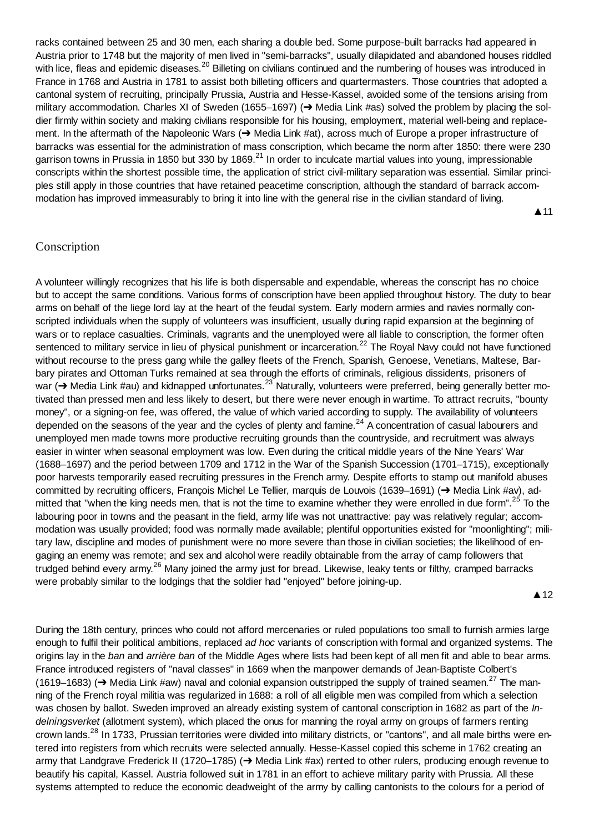racks contained between 25 and 30 men, each sharing a double bed. Some purpose-built barracks had appeared in Austria prior to 1748 but the majority of men lived in "semi-barracks", usually dilapidated and abandoned houses riddled with lice, fleas and epidemic diseases.<sup>20</sup> Billeting on civilians continued and the numbering of houses was introduced in France in 1768 and Austria in 1781 to assist both billeting officers and quartermasters. Those countries that adopted a cantonal system of recruiting, principally Prussia, Austria and Hesse-Kassel, avoided some of the tensions arising from military accommodation. Charles XI of Sweden (1655–1697) ( $\rightarrow$  Media Link #as) solved the problem by placing the soldier firmly within society and making civilians responsible for his housing, employment, material well-being and replacement. In the aftermath of the Napoleonic Wars  $(\rightarrow$  Media Link #at), across much of Europe a proper infrastructure of barracks was essential for the administration of mass conscription, which became the norm after 1850: there were 230 garrison towns in Prussia in 1850 but 330 by 1869. $^{21}$  In order to inculcate martial values into young, impressionable conscripts within the shortest possible time, the application of strict civil-military separation was essential. Similar principles still apply in those countries that have retained peacetime conscription, although the standard of barrack accommodation has improved immeasurably to bring it into line with the general rise in the civilian standard of living.

A 11

## Conscription

A volunteer willingly recognizes that his life is both dispensable and expendable, whereas the conscript has no choice but to accept the same conditions. Various forms of conscription have been applied throughout history. The duty to bear arms on behalf of the liege lord lay at the heart of the feudal system. Early modern armies and navies normally conscripted individuals when the supply of volunteers was insufficient, usually during rapid expansion at the beginning of wars or to replace casualties. Criminals, vagrants and the unemployed were all liable to conscription, the former often sentenced to military service in lieu of physical punishment or incarceration.<sup>22</sup> The Royal Navy could not have functioned without recourse to the press gang while the galley fleets of the French, Spanish, Genoese, Venetians, Maltese, Barbary pirates and Ottoman Turks remained at sea through the efforts of criminals, religious dissidents, prisoners of war ( $\rightarrow$  Media Link #au) and kidnapped unfortunates.<sup>23</sup> Naturally, volunteers were preferred, being generally better motivated than pressed men and less likely to desert, but there were never enough in wartime. To attract recruits, "bounty money", or a signing-on fee, was offered, the value of which varied according to supply. The availability of volunteers depended on the seasons of the year and the cycles of plenty and famine.<sup>24</sup> A concentration of casual labourers and unemployed men made towns more productive recruiting grounds than the countryside, and recruitment was always easier in winter when seasonal employment was low. Even during the critical middle years of the Nine Years' War (1688–1697) and the period between 1709 and 1712 in the War of the Spanish Succession (1701–1715), exceptionally poor harvests temporarily eased recruiting pressures in the French army. Despite efforts to stamp out manifold abuses committed by recruiting officers, François Michel Le Tellier, marquis de Louvois (1639–1691) (→ Media Link #av), admitted that "when the king needs men, that is not the time to examine whether they were enrolled in due form".<sup>25</sup> To the labouring poor in towns and the peasant in the field, army life was not unattractive: pay was relatively regular; accommodation was usually provided; food was normally made available; plentiful opportunities existed for "moonlighting"; military law, discipline and modes of punishment were no more severe than those in civilian societies; the likelihood of engaging an enemy was remote; and sex and alcohol were readily obtainable from the array of camp followers that trudged behind every army.<sup>26</sup> Many joined the army just for bread. Likewise, leaky tents or filthy, cramped barracks were probably similar to the lodgings that the soldier had "enjoyed" before joining-up.

 $\triangle$  12

During the 18th century, princes who could not afford mercenaries or ruled populations too small to furnish armies large enough to fulfil their political ambitions, replaced *ad hoc* variants of conscription with formal and organized systems. The origins lay in the *ban* and *arrière ban* of the Middle Ages where lists had been kept of all men fit and able to bear arms. France introduced registers of "naval classes" in 1669 when the manpower demands of Jean-Baptiste Colbert's (1619–1683) ( $\rightarrow$  Media Link #aw) naval and colonial expansion outstripped the supply of trained seamen.<sup>27</sup> The manning of the French royal militia was regularized in 1688: a roll of all eligible men was compiled from which a selection was chosen by ballot. Sweden improved an already existing system of cantonal conscription in 1682 as part of the *Indelningsverket* (allotment system), which placed the onus for manning the royal army on groups of farmers renting crown lands.<sup>28</sup> In 1733, Prussian territories were divided into military districts, or "cantons", and all male births were entered into registers from which recruits were selected annually. Hesse-Kassel copied this scheme in 1762 creating an army that Landgrave Frederick II (1720–1785) ( $\rightarrow$  Media Link #ax) rented to other rulers, producing enough revenue to beautify his capital, Kassel. Austria followed suit in 1781 in an effort to achieve military parity with Prussia. All these systems attempted to reduce the economic deadweight of the army by calling cantonists to the colours for a period of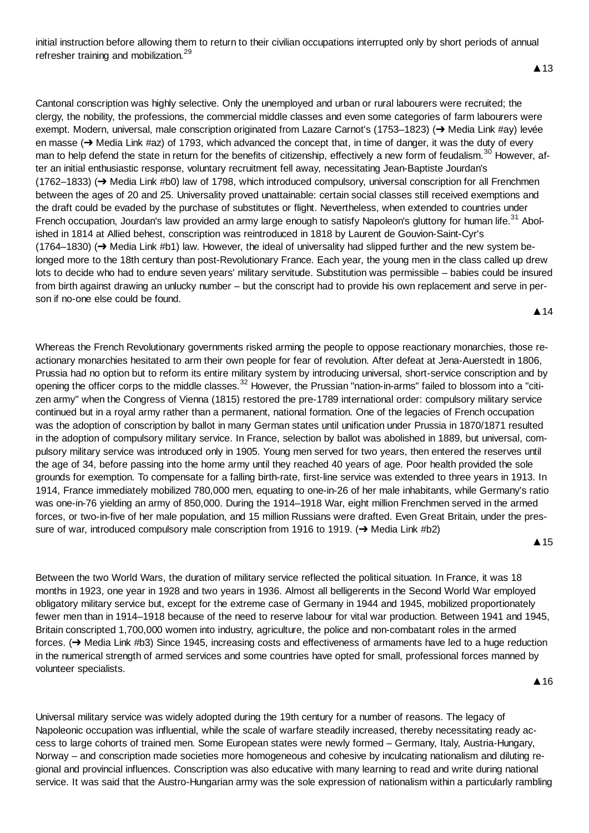initial instruction before allowing them to return to their civilian occupations interrupted only by short periods of annual refresher training and mobilization.<sup>29</sup>

Cantonal conscription was highly selective. Only the unemployed and urban or rural labourers were recruited; the clergy, the nobility, the professions, the commercial middle classes and even some categories of farm labourers were exempt. Modern, universal, male conscription originated from Lazare Carnot's (1753–1823) (→ Media Link #ay) levée en masse  $\rightarrow$  Media Link #az) of 1793, which advanced the concept that, in time of danger, it was the duty of every man to help defend the state in return for the benefits of citizenship, effectively a new form of feudalism.<sup>30</sup> However, after an initial enthusiastic response, voluntary recruitment fell away, necessitating Jean-Baptiste Jourdan's  $(1762–1833)$   $\rightarrow$  Media Link #b0) law of 1798, which introduced compulsory, universal conscription for all Frenchmen between the ages of 20 and 25. Universality proved unattainable: certain social classes still received exemptions and the draft could be evaded by the purchase of substitutes or flight. Nevertheless, when extended to countries under French occupation, Jourdan's law provided an army large enough to satisfy Napoleon's gluttony for human life.<sup>31</sup> Abolished in 1814 at Allied behest, conscription was reintroduced in 1818 by Laurent de Gouvion-Saint-Cyr's  $(1764–1830)$  ( $\rightarrow$  Media Link #b1) law. However, the ideal of universality had slipped further and the new system belonged more to the 18th century than post-Revolutionary France. Each year, the young men in the class called up drew lots to decide who had to endure seven years' military servitude. Substitution was permissible – babies could be insured from birth against drawing an unlucky number – but the conscript had to provide his own replacement and serve in person if no-one else could be found.

Whereas the French Revolutionary governments risked arming the people to oppose reactionary monarchies, those reactionary monarchies hesitated to arm their own people for fear of revolution. After defeat at Jena-Auerstedt in 1806, Prussia had no option but to reform its entire military system by introducing universal, short-service conscription and by opening the officer corps to the middle classes.<sup>32</sup> However, the Prussian "nation-in-arms" failed to blossom into a "citizen army" when the Congress of Vienna (1815) restored the pre-1789 international order: compulsory military service continued but in a royal army rather than a permanent, national formation. One of the legacies of French occupation was the adoption of conscription by ballot in many German states until unification under Prussia in 1870/1871 resulted in the adoption of compulsory military service. In France, selection by ballot was abolished in 1889, but universal, compulsory military service was introduced only in 1905. Young men served for two years, then entered the reserves until the age of 34, before passing into the home army until they reached 40 years of age. Poor health provided the sole grounds for exemption. To compensate for a falling birth-rate, first-line service was extended to three years in 1913. In 1914, France immediately mobilized 780,000 men, equating to one-in-26 of her male inhabitants, while Germany's ratio was one-in-76 yielding an army of 850,000. During the 1914–1918 War, eight million Frenchmen served in the armed forces, or two-in-five of her male population, and 15 million Russians were drafted. Even Great Britain, under the pressure of war, introduced compulsory male conscription from 1916 to 1919.  $\rightarrow$  Media Link #b2)

 $\triangle$  15

A 14

**▲**13

Between the two World Wars, the duration of military service reflected the political situation. In France, it was 18 months in 1923, one year in 1928 and two years in 1936. Almost all belligerents in the Second World War employed obligatory military service but, except for the extreme case of Germany in 1944 and 1945, mobilized proportionately fewer men than in 1914–1918 because of the need to reserve labour for vital war production. Between 1941 and 1945, Britain conscripted 1,700,000 women into industry, agriculture, the police and non-combatant roles in the armed forces. (→ Media Link #b3) Since 1945, increasing costs and effectiveness of armaments have led to a huge reduction in the numerical strength of armed services and some countries have opted for small, professional forces manned by volunteer specialists.

**A** 16

Universal military service was widely adopted during the 19th century for a number of reasons. The legacy of Napoleonic occupation was influential, while the scale of warfare steadily increased, thereby necessitating ready access to large cohorts of trained men. Some European states were newly formed – Germany, Italy, Austria-Hungary, Norway – and conscription made societies more homogeneous and cohesive by inculcating nationalism and diluting regional and provincial influences. Conscription was also educative with many learning to read and write during national service. It was said that the Austro-Hungarian army was the sole expression of nationalism within a particularly rambling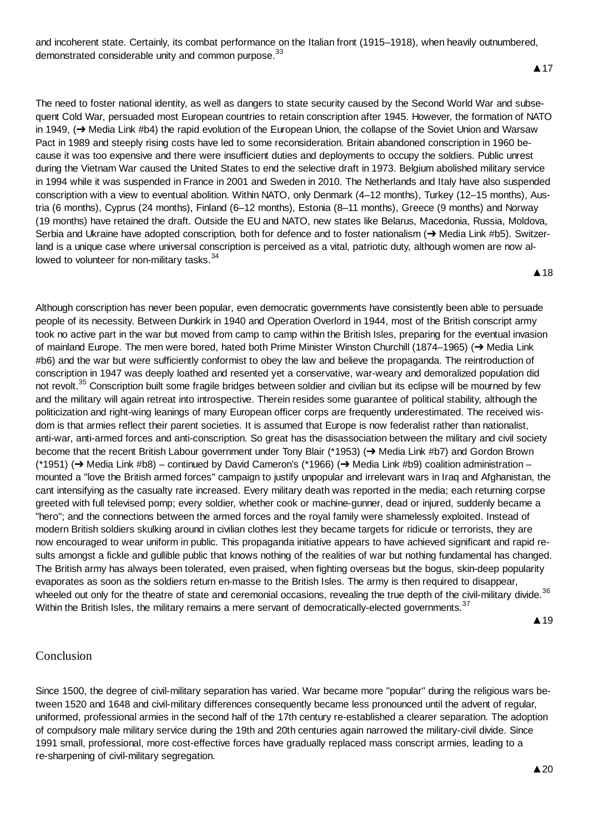and incoherent state. Certainly, its combat performance on the Italian front (1915–1918), when heavily outnumbered, demonstrated considerable unity and common purpose.<sup>33</sup>

**▲**17

The need to foster national identity, as well as dangers to state security caused by the Second World War and subsequent Cold War, persuaded most European countries to retain conscription after 1945. However, the formation of NATO in 1949,  $\rightarrow$  Media Link #b4) the rapid evolution of the European Union, the collapse of the Soviet Union and Warsaw Pact in 1989 and steeply rising costs have led to some reconsideration. Britain abandoned conscription in 1960 because it was too expensive and there were insufficient duties and deployments to occupy the soldiers. Public unrest during the Vietnam War caused the United States to end the selective draft in 1973. Belgium abolished military service in 1994 while it was suspended in France in 2001 and Sweden in 2010. The Netherlands and Italy have also suspended conscription with a view to eventual abolition. Within NATO, only Denmark (4–12 months), Turkey (12–15 months), Austria (6 months), Cyprus (24 months), Finland (6–12 months), Estonia (8–11 months), Greece (9 months) and Norway (19 months) have retained the draft. Outside the EU and NATO, new states like Belarus, Macedonia, Russia, Moldova, Serbia and Ukraine have adopted conscription, both for defence and to foster nationalism (→ Media Link #b5). Switzerland is a unique case where universal conscription is perceived as a vital, patriotic duty, although women are now allowed to volunteer for non-military tasks.<sup>34</sup>

**A** 18

Although conscription has never been popular, even democratic governments have consistently been able to persuade people of its necessity. Between Dunkirk in 1940 and Operation Overlord in 1944, most of the British conscript army took no active part in the war but moved from camp to camp within the British Isles, preparing for the eventual invasion of mainland Europe. The men were bored, hated both Prime Minister Winston Churchill (1874–1965) (→ Media Link #b6) and the war but were sufficiently conformist to obey the law and believe the propaganda. The reintroduction of conscription in 1947 was deeply loathed and resented yet a conservative, war-weary and demoralized population did not revolt.<sup>35</sup> Conscription built some fragile bridges between soldier and civilian but its eclipse will be mourned by few and the military will again retreat into introspective. Therein resides some guarantee of political stability, although the politicization and right-wing leanings of many European officer corps are frequently underestimated. The received wisdom is that armies reflect their parent societies. It is assumed that Europe is now federalist rather than nationalist, anti-war, anti-armed forces and anti-conscription. So great has the disassociation between the military and civil society become that the recent British Labour government under Tony Blair (\*1953) (→ Media Link #b7) and Gordon Brown (\*1951) (→ Media Link #b8) – continued by David Cameron's (\*1966) (→ Media Link #b9) coalition administration – mounted a "love the British armed forces" campaign to justify unpopular and irrelevant wars in Iraq and Afghanistan, the cant intensifying as the casualty rate increased. Every military death was reported in the media; each returning corpse greeted with full televised pomp; every soldier, whether cook or machine-gunner, dead or injured, suddenly became a "hero"; and the connections between the armed forces and the royal family were shamelessly exploited. Instead of modern British soldiers skulking around in civilian clothes lest they became targets for ridicule or terrorists, they are now encouraged to wear uniform in public. This propaganda initiative appears to have achieved significant and rapid results amongst a fickle and gullible public that knows nothing of the realities of war but nothing fundamental has changed. The British army has always been tolerated, even praised, when fighting overseas but the bogus, skin-deep popularity evaporates as soon as the soldiers return en-masse to the British Isles. The army is then required to disappear, wheeled out only for the theatre of state and ceremonial occasions, revealing the true depth of the civil-military divide.<sup>36</sup> Within the British Isles, the military remains a mere servant of democratically-elected governments.<sup>37</sup>

▲19

## Conclusion

Since 1500, the degree of civil-military separation has varied. War became more "popular" during the religious wars between 1520 and 1648 and civil-military differences consequently became less pronounced until the advent of regular, uniformed, professional armies in the second half of the 17th century re-established a clearer separation. The adoption of compulsory male military service during the 19th and 20th centuries again narrowed the military-civil divide. Since 1991 small, professional, more cost-effective forces have gradually replaced mass conscript armies, leading to a re-sharpening of civil-military segregation.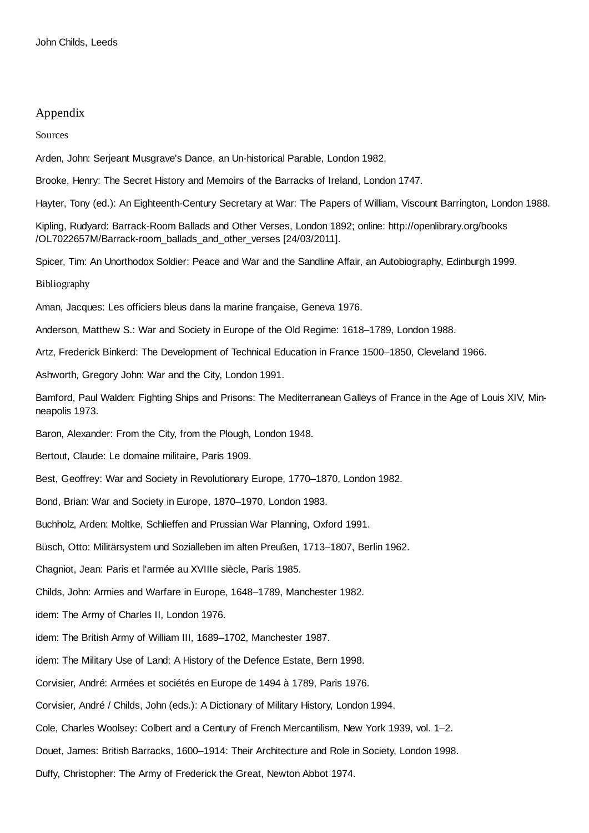## Appendix

Sources

Arden, John: Serjeant Musgrave's Dance, an Un-historical Parable, London 1982.

Brooke, Henry: The Secret History and Memoirs of the Barracks of Ireland, London 1747.

Hayter, Tony (ed.): An Eighteenth-Century Secretary at War: The Papers of William, Viscount Barrington, London 1988.

Kipling, Rudyard: Barrack-Room Ballads and Other Verses, London 1892; online: http://openlibrary.org/books /OL7022657M/Barrack-room\_ballads\_and\_other\_verses [24/03/2011].

Spicer, Tim: An Unorthodox Soldier: Peace and War and the Sandline Affair, an Autobiography, Edinburgh 1999.

Bibliography

Aman, Jacques: Les officiers bleus dans la marine française, Geneva 1976.

Anderson, Matthew S.: War and Society in Europe of the Old Regime: 1618–1789, London 1988.

Artz, Frederick Binkerd: The Development of Technical Education in France 1500–1850, Cleveland 1966.

Ashworth, Gregory John: War and the City, London 1991.

Bamford, Paul Walden: Fighting Ships and Prisons: The Mediterranean Galleys of France in the Age of Louis XIV, Minneapolis 1973.

Baron, Alexander: From the City, from the Plough, London 1948.

Bertout, Claude: Le domaine militaire, Paris 1909.

Best, Geoffrey: War and Society in Revolutionary Europe, 1770–1870, London 1982.

Bond, Brian: War and Society in Europe, 1870–1970, London 1983.

Buchholz, Arden: Moltke, Schlieffen and Prussian War Planning, Oxford 1991.

Büsch, Otto: Militärsystem und Sozialleben im alten Preußen, 1713–1807, Berlin 1962.

Chagniot, Jean: Paris et l'armée au XVIIIe siècle, Paris 1985.

Childs, John: Armies and Warfare in Europe, 1648–1789, Manchester 1982.

idem: The Army of Charles II, London 1976.

idem: The British Army of William III, 1689–1702, Manchester 1987.

idem: The Military Use of Land: A History of the Defence Estate, Bern 1998.

Corvisier, André: Armées et sociétés en Europe de 1494 à 1789, Paris 1976.

Corvisier, André / Childs, John (eds.): A Dictionary of Military History, London 1994.

Cole, Charles Woolsey: Colbert and a Century of French Mercantilism, New York 1939, vol. 1–2.

Douet, James: British Barracks, 1600–1914: Their Architecture and Role in Society, London 1998.

Duffy, Christopher: The Army of Frederick the Great, Newton Abbot 1974.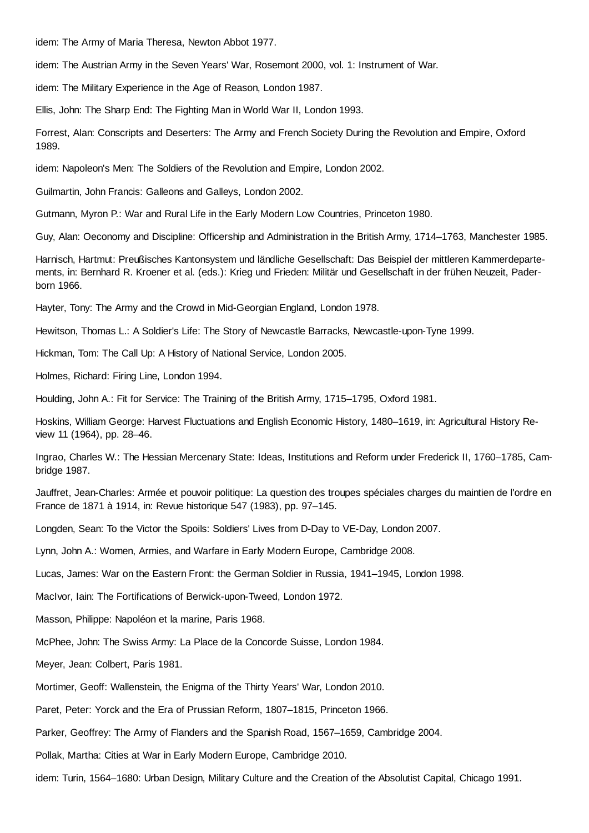idem: The Army of Maria Theresa, Newton Abbot 1977.

idem: The Austrian Army in the Seven Years' War, Rosemont 2000, vol. 1: Instrument of War.

idem: The Military Experience in the Age of Reason, London 1987.

Ellis, John: The Sharp End: The Fighting Man in World War II, London 1993.

Forrest, Alan: Conscripts and Deserters: The Army and French Society During the Revolution and Empire, Oxford 1989.

idem: Napoleon's Men: The Soldiers of the Revolution and Empire, London 2002.

Guilmartin, John Francis: Galleons and Galleys, London 2002.

Gutmann, Myron P.: War and Rural Life in the Early Modern Low Countries, Princeton 1980.

Guy, Alan: Oeconomy and Discipline: Officership and Administration in the British Army, 1714–1763, Manchester 1985.

Harnisch, Hartmut: Preußisches Kantonsystem und ländliche Gesellschaft: Das Beispiel der mittleren Kammerdepartements, in: Bernhard R. Kroener et al. (eds.): Krieg und Frieden: Militär und Gesellschaft in der frühen Neuzeit, Paderborn 1966.

Hayter, Tony: The Army and the Crowd in Mid-Georgian England, London 1978.

Hewitson, Thomas L.: A Soldier's Life: The Story of Newcastle Barracks, Newcastle-upon-Tyne 1999.

Hickman, Tom: The Call Up: A History of National Service, London 2005.

Holmes, Richard: Firing Line, London 1994.

Houlding, John A.: Fit for Service: The Training of the British Army, 1715–1795, Oxford 1981.

Hoskins, William George: Harvest Fluctuations and English Economic History, 1480–1619, in: Agricultural History Review 11 (1964), pp. 28–46.

Ingrao, Charles W.: The Hessian Mercenary State: Ideas, Institutions and Reform under Frederick II, 1760–1785, Cambridge 1987.

Jauffret, Jean-Charles: Armée et pouvoir politique: La question des troupes spéciales charges du maintien de l'ordre en France de 1871 à 1914, in: Revue historique 547 (1983), pp. 97–145.

Longden, Sean: To the Victor the Spoils: Soldiers' Lives from D-Day to VE-Day, London 2007.

Lynn, John A.: Women, Armies, and Warfare in Early Modern Europe, Cambridge 2008.

Lucas, James: War on the Eastern Front: the German Soldier in Russia, 1941–1945, London 1998.

MacIvor, Iain: The Fortifications of Berwick-upon-Tweed, London 1972.

Masson, Philippe: Napoléon et la marine, Paris 1968.

McPhee, John: The Swiss Army: La Place de la Concorde Suisse, London 1984.

Meyer, Jean: Colbert, Paris 1981.

Mortimer, Geoff: Wallenstein, the Enigma of the Thirty Years' War, London 2010.

Paret, Peter: Yorck and the Era of Prussian Reform, 1807–1815, Princeton 1966.

Parker, Geoffrey: The Army of Flanders and the Spanish Road, 1567–1659, Cambridge 2004.

Pollak, Martha: Cities at War in Early Modern Europe, Cambridge 2010.

idem: Turin, 1564–1680: Urban Design, Military Culture and the Creation of the Absolutist Capital, Chicago 1991.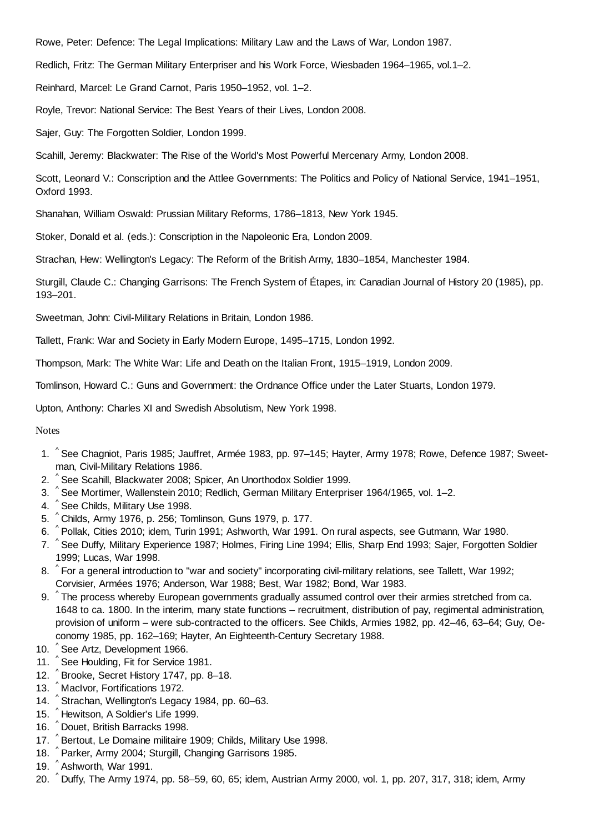Rowe, Peter: Defence: The Legal Implications: Military Law and the Laws of War, London 1987.

Redlich, Fritz: The German Military Enterpriser and his Work Force, Wiesbaden 1964–1965, vol.1–2.

Reinhard, Marcel: Le Grand Carnot, Paris 1950–1952, vol. 1–2.

Royle, Trevor: National Service: The Best Years of their Lives, London 2008.

Sajer, Guy: The Forgotten Soldier, London 1999.

Scahill, Jeremy: Blackwater: The Rise of the World's Most Powerful Mercenary Army, London 2008.

Scott, Leonard V.: Conscription and the Attlee Governments: The Politics and Policy of National Service, 1941–1951, Oxford 1993.

Shanahan, William Oswald: Prussian Military Reforms, 1786–1813, New York 1945.

Stoker, Donald et al. (eds.): Conscription in the Napoleonic Era, London 2009.

Strachan, Hew: Wellington's Legacy: The Reform of the British Army, 1830–1854, Manchester 1984.

Sturgill, Claude C.: Changing Garrisons: The French System of Étapes, in: Canadian Journal of History 20 (1985), pp. 193–201.

Sweetman, John: Civil-Military Relations in Britain, London 1986.

Tallett, Frank: War and Society in Early Modern Europe, 1495–1715, London 1992.

Thompson, Mark: The White War: Life and Death on the Italian Front, 1915–1919, London 2009.

Tomlinson, Howard C.: Guns and Government: the Ordnance Office under the Later Stuarts, London 1979.

Upton, Anthony: Charles XI and Swedish Absolutism, New York 1998.

**Notes** 

- 1. ^ See Chagniot, Paris 1985; Jauffret, Armée 1983, pp. 97–145; Hayter, Army 1978; Rowe, Defence 1987; Sweetman, Civil-Military Relations 1986.
- 2. ^ See Scahill, Blackwater 2008; Spicer, An Unorthodox Soldier 1999.
- 3. ^ See Mortimer, Wallenstein 2010; Redlich, German Military Enterpriser 1964/1965, vol. 1–2.
- 4. ^ See Childs, Military Use 1998.
- 5. ^Childs, Army 1976, p. 256; Tomlinson, Guns 1979, p. 177.
- 6. ^ Pollak, Cities 2010; idem, Turin 1991; Ashworth, War 1991. On rural aspects, see Gutmann, War 1980.
- 7. ^ See Duffy, Military Experience 1987; Holmes, Firing Line 1994; Ellis, Sharp End 1993; Sajer, Forgotten Soldier 1999; Lucas, War 1998.
- 8. ^For a general introduction to "war and society" incorporating civil-military relations, see Tallett, War 1992; Corvisier, Armées 1976; Anderson, War 1988; Best, War 1982; Bond, War 1983.
- 9. ^The process whereby European governments gradually assumed control over their armies stretched from ca. 1648 to ca. 1800. In the interim, many state functions – recruitment, distribution of pay, regimental administration, provision of uniform – were sub-contracted to the officers. See Childs, Armies 1982, pp. 42–46, 63–64; Guy, Oeconomy 1985, pp. 162–169; Hayter, An Eighteenth-Century Secretary 1988.
- 10. See Artz, Development 1966.
- 11. <sup>^</sup> See Houlding, Fit for Service 1981.
- 12. ^ Brooke, Secret History 1747, pp. 8-18.
- 13. MacIvor, Fortifications 1972.
- 14. ^ Strachan, Wellington's Legacy 1984, pp. 60–63.
- 15. ^ Hewitson, A Soldier's Life 1999.
- 16. Douet, British Barracks 1998.
- 17. ^ Bertout, Le Domaine militaire 1909; Childs, Military Use 1998.
- 18. ^ Parker, Army 2004; Sturgill, Changing Garrisons 1985.
- 19. ^ Ashworth, War 1991.
- 20. ^ Duffy, The Army 1974, pp. 58–59, 60, 65; idem, Austrian Army 2000, vol. 1, pp. 207, 317, 318; idem, Army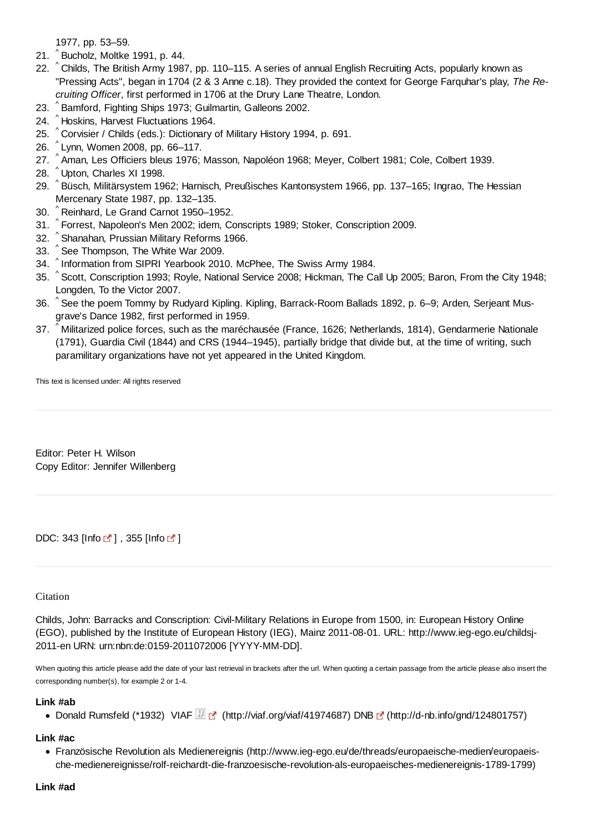1977, pp. 53–59.

- 21. ^Bucholz, Moltke 1991, p. 44.
- 22. ^Childs, The British Army 1987, pp. 110–115. A series of annual English Recruiting Acts, popularly known as "Pressing Acts", began in 1704 (2 & 3 Anne c.18). They provided the context for George Farquhar's play, *The Recruiting Officer*, first performed in 1706 at the Drury Lane Theatre, London.
- 23. ^ Bamford, Fighting Ships 1973; Guilmartin, Galleons 2002.
- 24. ^ Hoskins, Harvest Fluctuations 1964.
- 25. 
Corvisier / Childs (eds.): Dictionary of Military History 1994, p. 691.
- ^ 26. Lynn, Women 2008, pp. 66–117.
- 27. ^ Aman, Les Officiers bleus 1976; Masson, Napoléon 1968; Meyer, Colbert 1981; Cole, Colbert 1939.
- 28. 
Upton, Charles XI 1998.
- 29. ^Büsch, Militärsystem 1962; Harnisch, Preußisches Kantonsystem 1966, pp. 137–165; Ingrao, The Hessian Mercenary State 1987, pp. 132–135.
- 30. ^ Reinhard, Le Grand Carnot 1950–1952.
- 31. ^ Forrest, Napoleon's Men 2002; idem, Conscripts 1989; Stoker, Conscription 2009.
- 32. ^ Shanahan, Prussian Military Reforms 1966.
- 33. ^ See Thompson, The White War 2009.
- 34. 
Information from SIPRI Yearbook 2010. McPhee, The Swiss Army 1984.
- 35. ^ Scott, Conscription 1993; Royle, National Service 2008; Hickman, The Call Up 2005; Baron, From the City 1948; Longden, To the Victor 2007.
- 36. ^ See the poem Tommy by Rudyard Kipling. Kipling, Barrack-Room Ballads 1892, p. 6–9; Arden, Serjeant Musgrave's Dance 1982, first performed in 1959.
- 37. ^ Militarized police forces, such as the maréchausée (France, 1626; Netherlands, 1814), Gendarmerie Nationale (1791), Guardia Civil (1844) and CRS (1944–1945), partially bridge that divide but, at the time of writing, such paramilitary organizations have not yet appeared in the United Kingdom.

This text is licensed under: All rights reserved

Editor: Peter H. Wilson Copy Editor: Jennifer Willenberg

DDC: 343 [Info  $\leq$  ], 355 [Info  $\leq$  ]

## Citation

Childs, John: Barracks and Conscription: Civil-Military Relations in Europe from 1500, in: European History Online (EGO), published by the Institute of European History (IEG), Mainz 2011-08-01. URL: http://www.ieg-ego.eu/childsj-2011-en URN: urn:nbn:de:0159-2011072006 [YYYY-MM-DD].

When quoting this article please add the date of your last retrieval in brackets after the url. When quoting a certain passage from the article please also insert the corresponding number(s), for example 2 or 1-4.

## **Link #ab**

• Donald Rumsfeld (\*1932) VIAF (http://viaf.org/viaf/41974687) DNB [7] (http://d-nb.info/gnd/124801757)

## **Link #ac**

Französische Revolution als Medienereignis (http://www.ieg-ego.eu/de/threads/europaeische-medien/europaeische-medienereignisse/rolf-reichardt-die-franzoesische-revolution-als-europaeisches-medienereignis-1789-1799)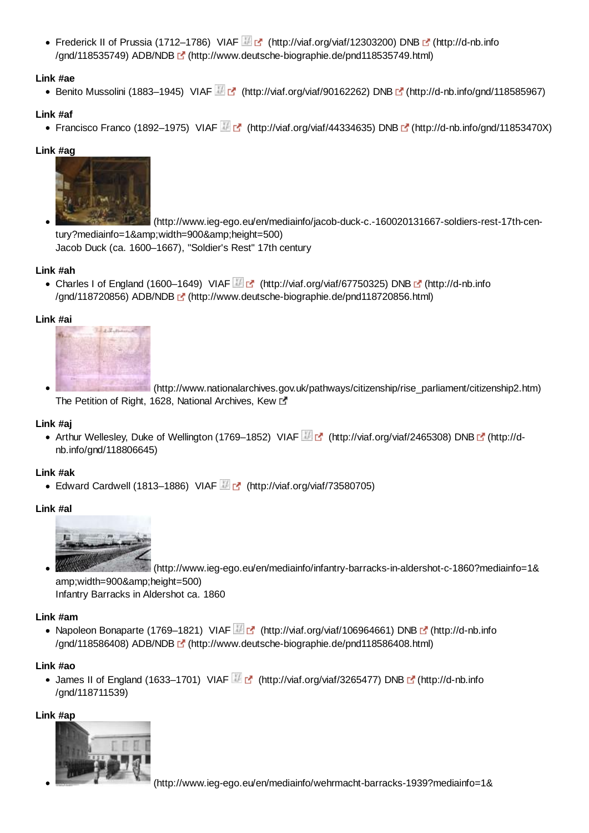• Frederick II of Prussia (1712–1786) VIAF **M** C (http://viaf.org/viaf/12303200) DNB C (http://d-nb.info /gnd/118535749) ADB/NDB (http://www.deutsche-biographie.de/pnd118535749.html)

## **Link #ae**

● Benito Mussolini (1883–1945) VIAF (http://viaf.org/viaf/90162262) DNB [ (http://d-nb.info/gnd/118585967)

## **Link #af**

Francisco Franco (1892–1975) VIAF  $\mathbb{F}_2$  (http://viaf.org/viaf/44334635) DNB  $\mathbb{F}_2$  (http://d-nb.info/gnd/11853470X)

## **Link #ag**



 (http://www.ieg-ego.eu/en/mediainfo/jacob-duck-c.-160020131667-soldiers-rest-17th-century?mediainfo=1&width=900&height=500) Jacob Duck (ca. 1600–1667), "Soldier's Rest" 17th century

## **Link #ah**

• Charles I of England (1600–1649) VIAF **(a)** (http://viaf.org/viaf/67750325) DNB <sup>(a</sup>) (http://d-nb.info /gnd/118720856) ADB/NDB (http://www.deutsche-biographie.de/pnd118720856.html)

## **Link #ai**



 (http://www.nationalarchives.gov.uk/pathways/citizenship/rise\_parliament/citizenship2.htm) The Petition of Right, 1628, National Archives, Kew L'

## **Link #aj**

• Arthur Wellesley, Duke of Wellington (1769–1852) VIAF <sup>17</sup> (http://viaf.org/viaf/2465308) DNB <sup>7</sup> (http://dnb.info/gnd/118806645)

## **Link #ak**

Edward Cardwell (1813–1886) VIAF  $\mathbb{F}_{\mathbb{C}}$  (http://viaf.org/viaf/73580705)

## **Link #al**



 (http://www.ieg-ego.eu/en/mediainfo/infantry-barracks-in-aldershot-c-1860?mediainfo=1& amp;width=900&height=500) Infantry Barracks in Aldershot ca. 1860

## **Link #am**

• Napoleon Bonaparte (1769–1821) VIAF  $\mathbb{F}$  (http://viaf.org/viaf/106964661) DNB  $\mathbb{F}$  (http://d-nb.info /gnd/118586408) ADB/NDB (http://www.deutsche-biographie.de/pnd118586408.html)

## **Link #ao**

• James II of England (1633–1701) VIAF (http://viaf.org/viaf/3265477) DNB [ (http://d-nb.info /gnd/118711539)

**Link #ap**

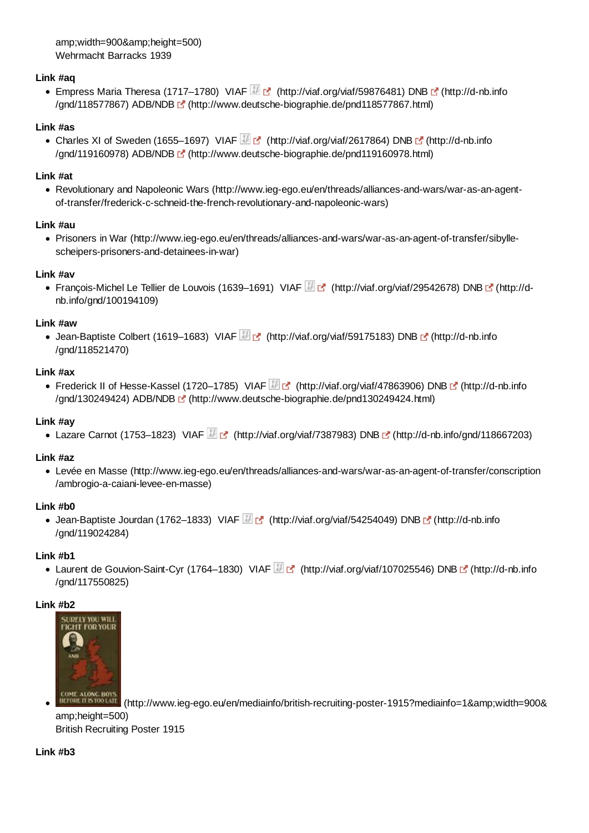amp;width=900&height=500) Wehrmacht Barracks 1939

## **Link #aq**

• Empress Maria Theresa (1717–1780) VIAF **M**<sub>C</sub> (http://viaf.org/viaf/59876481) DNB C (http://d-nb.info /gnd/118577867) ADB/NDB (http://www.deutsche-biographie.de/pnd118577867.html)

## **Link #as**

Charles XI of Sweden (1655–1697) VIAF (http://viaf.org/viaf/2617864) DNB [ (http://d-nb.info /gnd/119160978) ADB/NDB (http://www.deutsche-biographie.de/pnd119160978.html)

## **Link #at**

Revolutionary and Napoleonic Wars (http://www.ieg-ego.eu/en/threads/alliances-and-wars/war-as-an-agentof-transfer/frederick-c-schneid-the-french-revolutionary-and-napoleonic-wars)

## **Link #au**

Prisoners in War (http://www.ieg-ego.eu/en/threads/alliances-and-wars/war-as-an-agent-of-transfer/sibyllescheipers-prisoners-and-detainees-in-war)

#### **Link #av**

• Francois-Michel Le Tellier de Louvois (1639–1691) VIAF **Manual Communist** (http://viaf.org/viaf/29542678) DNB C (http://dnb.info/gnd/100194109)

#### **Link #aw**

• Jean-Baptiste Colbert (1619–1683) VIAF **M**<sub>L</sub> (http://viaf.org/viaf/59175183) DNB L (http://d-nb.info /gnd/118521470)

#### **Link #ax**

Frederick II of Hesse-Kassel (1720–1785) VIAF (http://viaf.org/viaf/47863906) DNB (http://d-nb.info /gnd/130249424) ADB/NDB (http://www.deutsche-biographie.de/pnd130249424.html)

## **Link #ay**

• Lazare Carnot (1753–1823) VIAF  $\mathbb{H}$   $\mathbb{F}$  (http://viaf.org/viaf/7387983) DNB  $\mathbb{F}$  (http://d-nb.info/gnd/118667203)

## **Link #az**

Levée en Masse (http://www.ieg-ego.eu/en/threads/alliances-and-wars/war-as-an-agent-of-transfer/conscription /ambrogio-a-caiani-levee-en-masse)

## **Link #b0**

• Jean-Baptiste Jourdan (1762–1833) VIAF (http://viaf.org/viaf/54254049) DNB [5] (http://d-nb.info /gnd/119024284)

## **Link #b1**

• Laurent de Gouvion-Saint-Cyr (1764–1830) VIAF **(Alexandria Cyristial** Contract No. 25546) DNB (http://d-nb.info /gnd/117550825)

#### **Link #b2**



COME ALONG BOTS<br>BEFORE IT IS TOO LATE (http://www.ieg-ego.eu/en/mediainfo/british-recruiting-poster-1915?mediainfo=1&amp;width=900& amp;height=500) British Recruiting Poster 1915

**Link #b3**